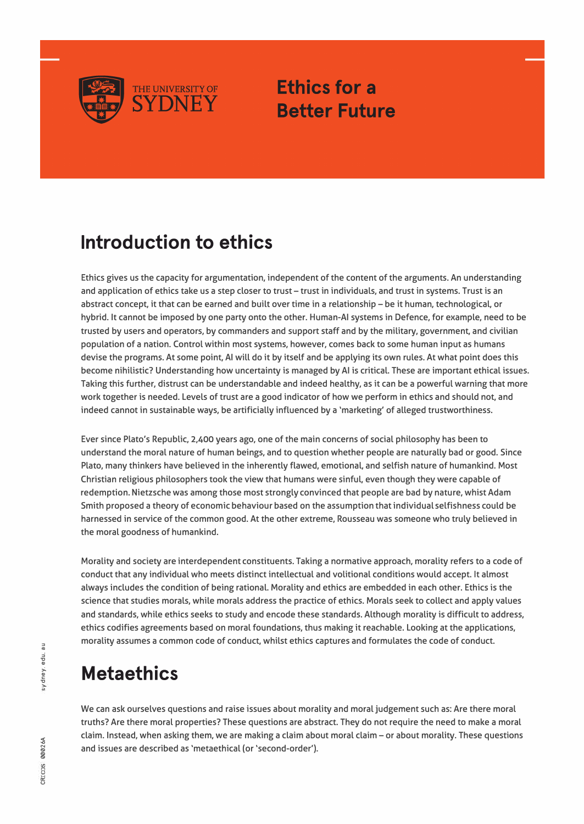

**Ethics for a Better Future** 

#### **Introduction to ethics**

Ethics gives us the capacity for argumentation, independent of the content of the arguments. An understanding and application of ethics take us a step closer to trust - trust in individuals, and trust in systems. Trust is an abstract concept, it that can be earned and built over time in a relationship - be it human, technological, or hybrid. It cannot be imposed by one party onto the other. Human-Al systems in Defence, for example, need to be trusted by users and operators, by commanders and support staff and by the military, government, and civilian population of a nation. Control within most systems, however, comes back to some human input as humans devise the programs. At some point, Al will do it by itself and be applying its own rules. At what point does this become nihilistic? Understanding how uncertainty is managed by Al is critical. These are important ethical issues. Taking this further, distrust can be understandable and indeed healthy, as it can be a powerful warning that more work together is needed. Levels of trust are a good indicator of how we perform in ethics and should not, and indeed cannot in sustainable ways, be artificially influenced by a 'marketing' of alleged trustworthiness.

Ever since Plato's Republic, 2,400 years ago, one of the main concerns of social philosophy has been to understand the moral nature of human beings, and to question whether people are naturally bad or good. Since Plato, many thinkers have believed in the inherently flawed, emotional, and selfish nature of humankind. Most Christian religious philosophers took the view that humans were sinful, even though they were capable of redemption. Nietzsche was among those most strongly convinced that people are bad by nature, whist Adam Smith proposed a theory of economic behaviour based on the assumption that individual selfishness could be harnessed in service of the common good. At the other extreme, Rousseau was someone who truly believed in the moral goodness of humankind.

Morality and society are interdependent constituents. Taking a normative approach, morality refers to a code of conduct that any individual who meets distinct intellectual and volitional conditions would accept. It almost always includes the condition of being rational. Morality and ethics are embedded in each other. Ethics is the science that studies morals, while morals address the practice of ethics. Morals seek to collect and apply values and standards, while ethics seeks to study and encode these standards. Although morality is difficult to address, ethics codifies agreements based on moral foundations, thus making it reachable. Looking at the applications, morality assumes a common code of conduct, whilst ethics captures and formulates the code of conduct.

### **Metaethics**

We can ask ourselves questions and raise issues about morality and moral judgement such as: Are there moral truths? Are there moral properties? These questions are abstract. They do not require the need to make a moral claim. Instead, when asking them, we are making a claim about moral claim - or about morality. These questions and issues are described as 'metaethical (or 'second-order').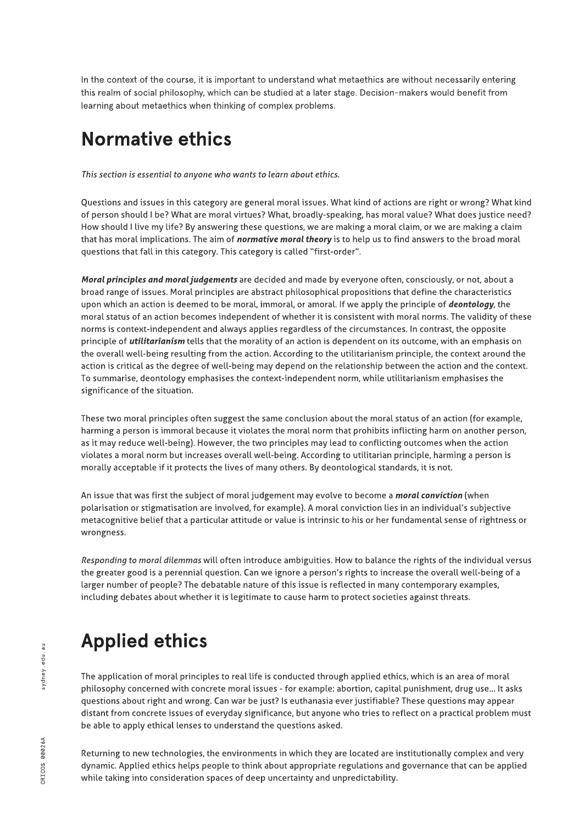In the context of the course, it is important to understand what metaethics are without necessarily entering this realm of social philosophy, which can be studied at a later stage. Decision- makers would benefit from learning about metaethics when thinking of complex problems.

## Normative ethics

**Thissection isessential to anyone who wantsto learn about ethics.**

Questions and issues in this category are general moral issues. What kind of actions are right or wrong? What kind of person should I be? What are moral virtues? What, broadly-speaking, has moral value? What does justice need? How should I live my life? By answering these questions, we are making a moral claim, or we are making a claim that has moral implications. The aim of **normative moral theory** is to help us to find answers to the broad moral questions that fall in this category. This category is called "first-order".

**Moral principlesand moral judgements**are decided and made by everyone often, consciously, or not, about a broad range of issues. Moral principles are abstract philosophical propositions that define the characteristics upon which an action is deemed to be moral, immoral, or amoral. If we apply the principle of **deontology**, the moral status of an action becomes independent of whether it is consistent with moral norms. The validity of these norms is context-independent and always applies regardless of the circumstances. In contrast, the opposite principle of **utilitarianism** tells that the morality of an action is dependent on its outcome, with an emphasis on the overall well-being resulting from the action. According to the utilitarianism principle, the context around the action is critical as the degree of well-being may depend on the relationship between the action and the context. To summarise, deontology emphasises the context-independent norm, while utilitarianism emphasises the significance of the situation.

These two moral principles often suggest the same conclusion about the moral status of an action (for example, harming a person is immoral because it violates the moral norm that prohibits inflicting harm on another person, as it may reduce well-being). However, the two principles may lead to conflicting outcomes when the action violates a moral norm but increases overall well-being. According to utilitarian principle, harming a person is morally acceptable if it protects the lives of many others. By deontological standards, it is not.

An issue that was first the subject of moral judgement may evolve to become a **moral conviction** (when polarisation or stigmatisation are involved, for example). A moral conviction lies in an individual's subjective metacognitive belief that a particular attitude or value is intrinsic to his or her fundamental sense of rightness or wrongness.

**Responding to moral dilemmas**will often introduce ambiguities. How to balance the rights of the individual versus the greater good is a perennial question. Can we ignore a person's rights to increase the overall well-being of a larger number of people? The debatable nature of this issue is reflected in many contemporary examples, including debates about whether it is legitimate to cause harm to protect societies against threats.

# Applied ethics

The application of moral principles to real life is conducted through applied ethics, which is an area of moral philosophy concerned with concrete moral issues - for example: abortion, capital punishment, drug use... It asks questions about right and wrong. Can war be just? Is euthanasia ever justifiable? These questions may appear distant from concrete issues of everyday significance, but anyone who tries to reflect on a practical problem must be able to apply ethical lenses to understand the questions asked.

Returning to new technologies, the environments in which they are located are institutionally complex and very dynamic. Applied ethics helps people to think about appropriate regulations and governance that can be applied while taking into consideration spaces of deep uncertainty and unpredictability.